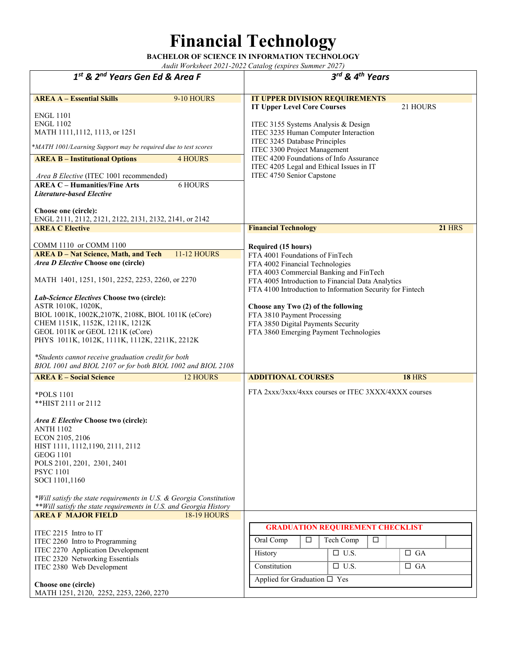## **Financial Technology**

**BACHELOR OF SCIENCE IN INFORMATION TECHNOLOGY**  *Audit Worksheet 2021-2022 Catalog (expires Summer 2027)* 

*1st & 2nd Years Gen Ed & Area F 3rd & 4th Years* **AREA A – Essential Skills** 9-10 HOURS ENGL 1101 ENGL 1102 MATH 1111,1112, 1113, or 1251 **IT UPPER DIVISION REQUIREMENTS IT Upper Level Core Courses** 21 HOURS ITEC 3155 Systems Analysis & Design ITEC 3235 Human Computer Interaction ITEC 3245 Database Principles ITEC 3300 Project Management ITEC 4200 Foundations of Info Assurance ITEC 4205 Legal and Ethical Issues in IT ITEC 4750 Senior Capstone **AREA B – Institutional Options** 4 HOURS *Area B Elective* (ITEC 1001 recommended) **AREA C – Humanities/Fine Arts** 6 HOURS *Literature-based Elective* **Choose one (circle):**  ENGL 2111, 2112, 2121, 2122, 2131, 2132, 2141, or 2142 **AREA C Elective** COMM 1110 or COMM 1100 **Financial Technology 21** HRS **Required (15 hours)** FTA 4001 Foundations of FinTech FTA 4002 Financial Technologies FTA 4003 Commercial Banking and FinTech FTA 4005 Introduction to Financial Data Analytics FTA 4100 Introduction to Information Security for Fintech **Choose any Two (2) of the following** FTA 3810 Payment Processing FTA 3850 Digital Payments Security FTA 3860 Emerging Payment Technologies FTA 2xxx/3xxx/4xxx courses or ITEC 3XXX/4XXX courses **AREA D – Nat Science, Math, and Tech** 11-12 HOURS *Area D Elective* **Choose one (circle)**  MATH 1401, 1251, 1501, 2252, 2253, 2260, or 2270 *Lab-Science Electives* **Choose two (circle):**  ASTR 1010K, 1020K, BIOL 1001K, 1002K,2107K, 2108K, BIOL 1011K (eCore) CHEM 1151K, 1152K, 1211K, 1212K GEOL 1011K or GEOL 1211K (eCore) PHYS 1011K, 1012K, 1111K, 1112K, 2211K, 2212K *\*Students cannot receive graduation credit for both BIOL 1001 and BIOL 2107 or for both BIOL 1002 and BIOL 2108* **AREA E – Social Science** 12 HOURS \*POLS 1101 \*\*HIST 2111 or 2112 *Area E Elective* **Choose two (circle):** ANTH 1102 ECON 2105, 2106 HIST 1111, 1112,1190, 2111, 2112 GEOG 1101 POLS 2101, 2201, 2301, 2401 PSYC 1101 SOCI 1101,1160 *\*Will satisfy the state requirements in U.S. & Georgia Constitution \*\*Will satisfy the state requirements in U.S. and Georgia History* **ADDITIONAL COURSES 18** HRS **AREA F MAJOR FIELD** 18-19 HOURS ITEC 2215 Intro to IT ITEC 2260 Intro to Programming ITEC 2270 Application Development ITEC 2320 Networking Essentials ITEC 2380 Web Development **Choose one (circle)**  MATH 1251, 2120, 2252, 2253, 2260, 2270  **GRADUATION REQUIREMENT CHECKLIST** Oral Comp  $\Box$  Tech Comp  $\Box$ History  $\Box$  U.S.  $\Box$  GA Constitution  $\Box$  U.S.  $\Box$  GA Applied for Graduation  $\square$  Yes \**MATH 1001/Learning Support may be required due to test scores*